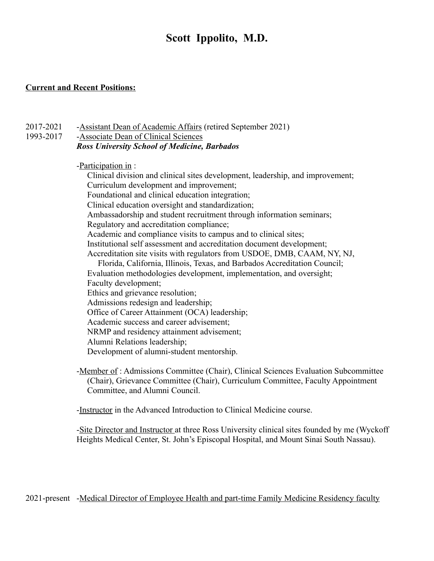# **Scott Ippolito, M.D.**

#### **Current and Recent Positions:**

- 2017-2021 -Assistant Dean of Academic Affairs (retired September 2021)
- 1993-2017 -Associate Dean of Clinical Sciences *Ross University School of Medicine, Barbados*

-Participation in :

Clinical division and clinical sites development, leadership, and improvement; Curriculum development and improvement; Foundational and clinical education integration; Clinical education oversight and standardization; Ambassadorship and student recruitment through information seminars; Regulatory and accreditation compliance; Academic and compliance visits to campus and to clinical sites; Institutional self assessment and accreditation document development; Accreditation site visits with regulators from USDOE, DMB, CAAM, NY, NJ, Florida, California, Illinois, Texas, and Barbados Accreditation Council; Evaluation methodologies development, implementation, and oversight; Faculty development; Ethics and grievance resolution; Admissions redesign and leadership; Office of Career Attainment (OCA) leadership; Academic success and career advisement; NRMP and residency attainment advisement; Alumni Relations leadership; Development of alumni-student mentorship.

-Member of : Admissions Committee (Chair), Clinical Sciences Evaluation Subcommittee (Chair), Grievance Committee (Chair), Curriculum Committee, Faculty Appointment Committee, and Alumni Council.

-Instructor in the Advanced Introduction to Clinical Medicine course.

-Site Director and Instructor at three Ross University clinical sites founded by me (Wyckoff Heights Medical Center, St. John's Episcopal Hospital, and Mount Sinai South Nassau).

2021-present -Medical Director of Employee Health and part-time Family Medicine Residency faculty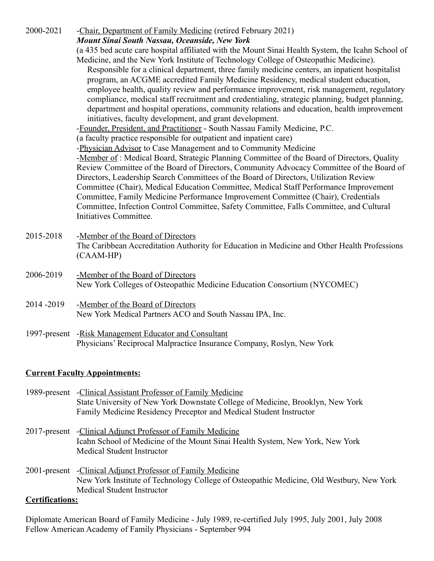| 2000-2021                            | -Chair, Department of Family Medicine (retired February 2021)<br>Mount Sinai South Nassau, Oceanside, New York<br>(a 435 bed acute care hospital affiliated with the Mount Sinai Health System, the Icahn School of<br>Medicine, and the New York Institute of Technology College of Osteopathic Medicine).<br>Responsible for a clinical department, three family medicine centers, an inpatient hospitalist<br>program, an ACGME accredited Family Medicine Residency, medical student education,<br>employee health, quality review and performance improvement, risk management, regulatory<br>compliance, medical staff recruitment and credentialing, strategic planning, budget planning,<br>department and hospital operations, community relations and education, health improvement<br>initiatives, faculty development, and grant development.<br>-Founder, President, and Practitioner - South Nassau Family Medicine, P.C.<br>(a faculty practice responsible for outpatient and inpatient care)<br>-Physician Advisor to Case Management and to Community Medicine<br>-Member of: Medical Board, Strategic Planning Committee of the Board of Directors, Quality<br>Review Committee of the Board of Directors, Community Advocacy Committee of the Board of<br>Directors, Leadership Search Committees of the Board of Directors, Utilization Review<br>Committee (Chair), Medical Education Committee, Medical Staff Performance Improvement<br>Committee, Family Medicine Performance Improvement Committee (Chair), Credentials<br>Committee, Infection Control Committee, Safety Committee, Falls Committee, and Cultural<br>Initiatives Committee. |  |  |
|--------------------------------------|------------------------------------------------------------------------------------------------------------------------------------------------------------------------------------------------------------------------------------------------------------------------------------------------------------------------------------------------------------------------------------------------------------------------------------------------------------------------------------------------------------------------------------------------------------------------------------------------------------------------------------------------------------------------------------------------------------------------------------------------------------------------------------------------------------------------------------------------------------------------------------------------------------------------------------------------------------------------------------------------------------------------------------------------------------------------------------------------------------------------------------------------------------------------------------------------------------------------------------------------------------------------------------------------------------------------------------------------------------------------------------------------------------------------------------------------------------------------------------------------------------------------------------------------------------------------------------------------------------------------------------------------------------------------|--|--|
| 2015-2018                            | -Member of the Board of Directors<br>The Caribbean Accreditation Authority for Education in Medicine and Other Health Professions<br>$(CAAM-HP)$                                                                                                                                                                                                                                                                                                                                                                                                                                                                                                                                                                                                                                                                                                                                                                                                                                                                                                                                                                                                                                                                                                                                                                                                                                                                                                                                                                                                                                                                                                                       |  |  |
| 2006-2019                            | -Member of the Board of Directors<br>New York Colleges of Osteopathic Medicine Education Consortium (NYCOMEC)                                                                                                                                                                                                                                                                                                                                                                                                                                                                                                                                                                                                                                                                                                                                                                                                                                                                                                                                                                                                                                                                                                                                                                                                                                                                                                                                                                                                                                                                                                                                                          |  |  |
| 2014-2019                            | -Member of the Board of Directors<br>New York Medical Partners ACO and South Nassau IPA, Inc.                                                                                                                                                                                                                                                                                                                                                                                                                                                                                                                                                                                                                                                                                                                                                                                                                                                                                                                                                                                                                                                                                                                                                                                                                                                                                                                                                                                                                                                                                                                                                                          |  |  |
|                                      | 1997-present -Risk Management Educator and Consultant<br>Physicians' Reciprocal Malpractice Insurance Company, Roslyn, New York                                                                                                                                                                                                                                                                                                                                                                                                                                                                                                                                                                                                                                                                                                                                                                                                                                                                                                                                                                                                                                                                                                                                                                                                                                                                                                                                                                                                                                                                                                                                        |  |  |
| <b>Current Faculty Appointments:</b> |                                                                                                                                                                                                                                                                                                                                                                                                                                                                                                                                                                                                                                                                                                                                                                                                                                                                                                                                                                                                                                                                                                                                                                                                                                                                                                                                                                                                                                                                                                                                                                                                                                                                        |  |  |

- 1989-present -Clinical Assistant Professor of Family Medicine State University of New York Downstate College of Medicine, Brooklyn, New York Family Medicine Residency Preceptor and Medical Student Instructor
- 2017-present -Clinical Adjunct Professor of Family Medicine Icahn School of Medicine of the Mount Sinai Health System, New York, New York Medical Student Instructor
- 2001-present -Clinical Adjunct Professor of Family Medicine New York Institute of Technology College of Osteopathic Medicine, Old Westbury, New York Medical Student Instructor

# **Certifications:**

Diplomate American Board of Family Medicine - July 1989, re-certified July 1995, July 2001, July 2008 Fellow American Academy of Family Physicians - September 994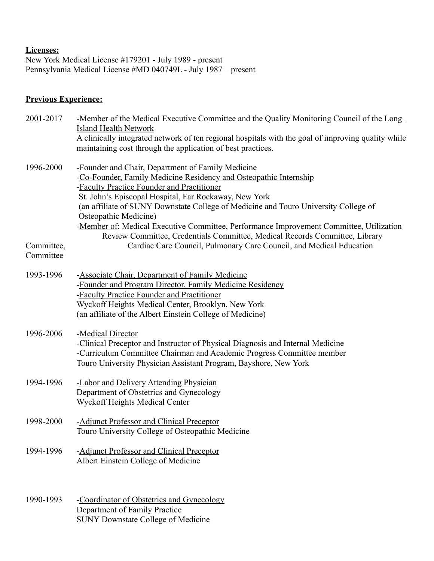#### **Licenses:**

New York Medical License #179201 - July 1989 - present Pennsylvania Medical License #MD 040749L - July 1987 – present

# **Previous Experience:**

| 2001-2017               | -Member of the Medical Executive Committee and the Quality Monitoring Council of the Long<br><b>Island Health Network</b>                                                                                                                                                    |  |
|-------------------------|------------------------------------------------------------------------------------------------------------------------------------------------------------------------------------------------------------------------------------------------------------------------------|--|
|                         | A clinically integrated network of ten regional hospitals with the goal of improving quality while<br>maintaining cost through the application of best practices.                                                                                                            |  |
| 1996-2000               | -Founder and Chair, Department of Family Medicine<br>-Co-Founder, Family Medicine Residency and Osteopathic Internship<br>-Faculty Practice Founder and Practitioner<br>St. John's Episcopal Hospital, Far Rockaway, New York                                                |  |
|                         | (an affiliate of SUNY Downstate College of Medicine and Touro University College of<br>Osteopathic Medicine)<br>-Member of: Medical Executive Committee, Performance Improvement Committee, Utilization                                                                      |  |
| Committee,<br>Committee | Review Committee, Credentials Committee, Medical Records Committee, Library<br>Cardiac Care Council, Pulmonary Care Council, and Medical Education                                                                                                                           |  |
| 1993-1996               | -Associate Chair, Department of Family Medicine<br>-Founder and Program Director, Family Medicine Residency<br>-Faculty Practice Founder and Practitioner<br>Wyckoff Heights Medical Center, Brooklyn, New York<br>(an affiliate of the Albert Einstein College of Medicine) |  |
| 1996-2006               | -Medical Director<br>-Clinical Preceptor and Instructor of Physical Diagnosis and Internal Medicine<br>-Curriculum Committee Chairman and Academic Progress Committee member<br>Touro University Physician Assistant Program, Bayshore, New York                             |  |
| 1994-1996               | -Labor and Delivery Attending Physician<br>Department of Obstetrics and Gynecology<br>Wyckoff Heights Medical Center                                                                                                                                                         |  |
| 1998-2000               | -Adjunct Professor and Clinical Preceptor<br>Touro University College of Osteopathic Medicine                                                                                                                                                                                |  |
| 1994-1996               | -Adjunct Professor and Clinical Preceptor<br>Albert Einstein College of Medicine                                                                                                                                                                                             |  |
| 1990-1993               | -Coordinator of Obstetrics and Gynecology<br>Department of Family Practice                                                                                                                                                                                                   |  |

SUNY Downstate College of Medicine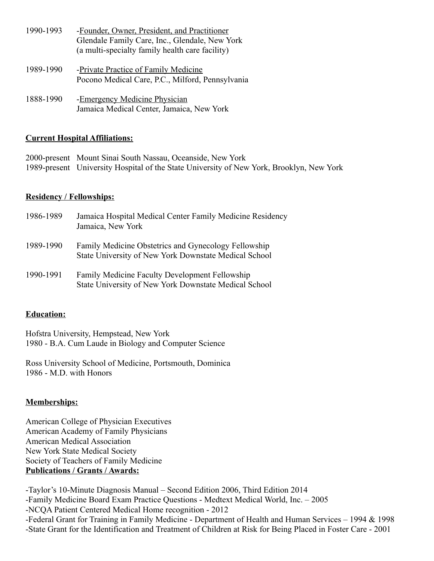| 1990-1993 | -Founder, Owner, President, and Practitioner<br>Glendale Family Care, Inc., Glendale, New York<br>(a multi-specialty family health care facility) |
|-----------|---------------------------------------------------------------------------------------------------------------------------------------------------|
| 1989-1990 | -Private Practice of Family Medicine<br>Pocono Medical Care, P.C., Milford, Pennsylvania                                                          |
|           |                                                                                                                                                   |

1888-1990 - Emergency Medicine Physician Jamaica Medical Center, Jamaica, New York

#### **Current Hospital Affiliations:**

| 2000-present Mount Sinai South Nassau, Oceanside, New York                               |
|------------------------------------------------------------------------------------------|
| 1989-present University Hospital of the State University of New York, Brooklyn, New York |

### **Residency / Fellowships:**

| 1986-1989 | Jamaica Hospital Medical Center Family Medicine Residency<br>Jamaica, New York                                 |
|-----------|----------------------------------------------------------------------------------------------------------------|
| 1989-1990 | Family Medicine Obstetrics and Gynecology Fellowship<br>State University of New York Downstate Medical School  |
| 1990-1991 | <b>Family Medicine Faculty Development Fellowship</b><br>State University of New York Downstate Medical School |

## **Education:**

Hofstra University, Hempstead, New York 1980 - B.A. Cum Laude in Biology and Computer Science

Ross University School of Medicine, Portsmouth, Dominica 1986 - M.D. with Honors

## **Memberships:**

American College of Physician Executives American Academy of Family Physicians American Medical Association New York State Medical Society Society of Teachers of Family Medicine **Publications / Grants / Awards:**

-Taylor's 10-Minute Diagnosis Manual – Second Edition 2006, Third Edition 2014 -Family Medicine Board Exam Practice Questions - Medtext Medical World, Inc. – 2005 -NCQA Patient Centered Medical Home recognition - 2012 -Federal Grant for Training in Family Medicine - Department of Health and Human Services – 1994 & 1998 -State Grant for the Identification and Treatment of Children at Risk for Being Placed in Foster Care - 2001